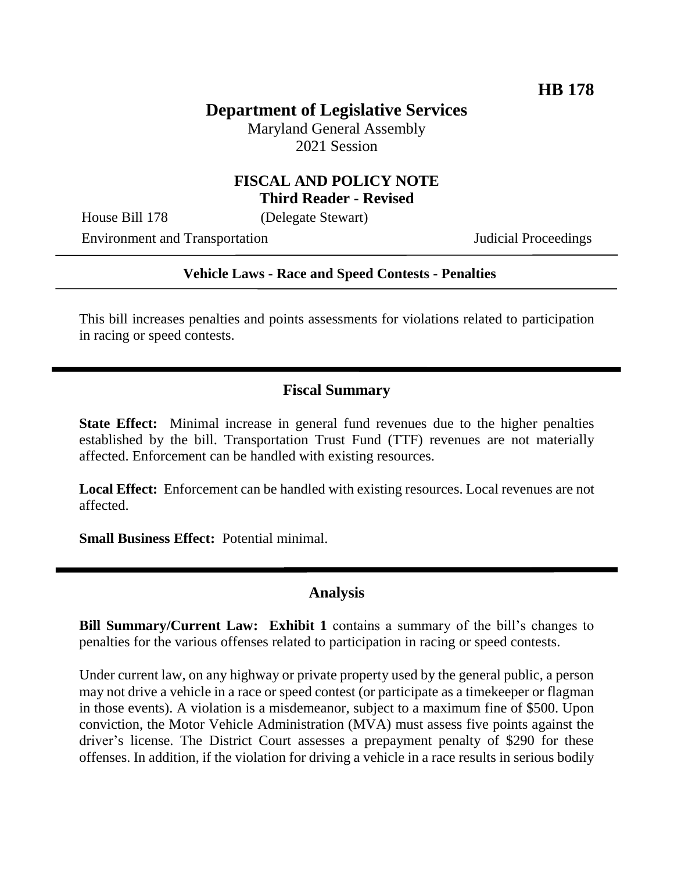# **Department of Legislative Services**

Maryland General Assembly 2021 Session

### **FISCAL AND POLICY NOTE Third Reader - Revised**

House Bill 178 (Delegate Stewart)

Environment and Transportation Judicial Proceedings

### **Vehicle Laws - Race and Speed Contests - Penalties**

This bill increases penalties and points assessments for violations related to participation in racing or speed contests.

# **Fiscal Summary**

**State Effect:** Minimal increase in general fund revenues due to the higher penalties established by the bill. Transportation Trust Fund (TTF) revenues are not materially affected. Enforcement can be handled with existing resources.

**Local Effect:** Enforcement can be handled with existing resources. Local revenues are not affected.

**Small Business Effect:** Potential minimal.

### **Analysis**

**Bill Summary/Current Law: Exhibit 1** contains a summary of the bill's changes to penalties for the various offenses related to participation in racing or speed contests.

Under current law, on any highway or private property used by the general public, a person may not drive a vehicle in a race or speed contest (or participate as a timekeeper or flagman in those events). A violation is a misdemeanor, subject to a maximum fine of \$500. Upon conviction, the Motor Vehicle Administration (MVA) must assess five points against the driver's license. The District Court assesses a prepayment penalty of \$290 for these offenses. In addition, if the violation for driving a vehicle in a race results in serious bodily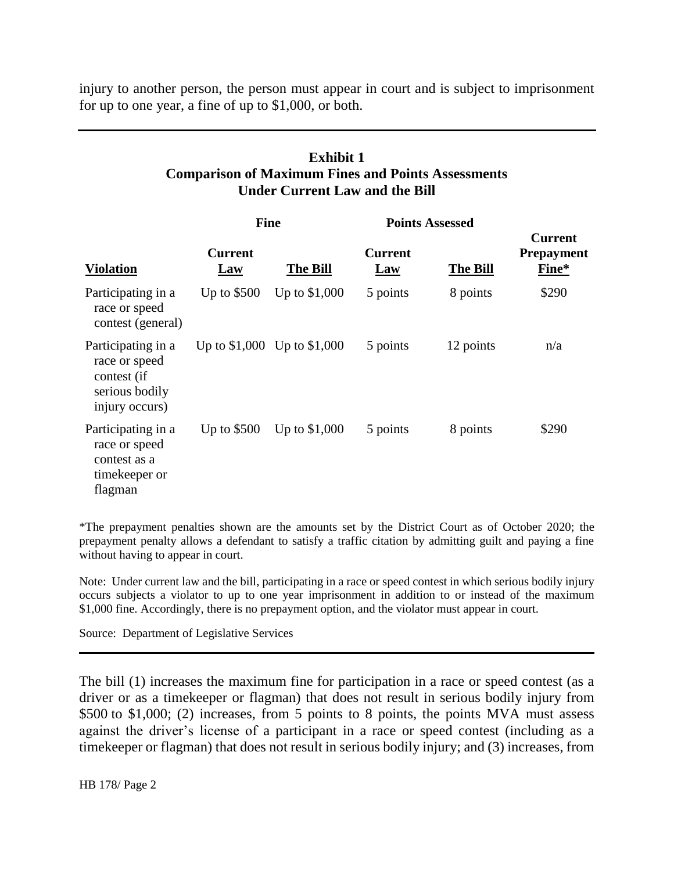injury to another person, the person must appear in court and is subject to imprisonment for up to one year, a fine of up to \$1,000, or both.

### **Exhibit 1 Comparison of Maximum Fines and Points Assessments Under Current Law and the Bill**

|                                                                                        | <b>Fine</b>           |                               | <b>Points Assessed</b> |                 |                                              |
|----------------------------------------------------------------------------------------|-----------------------|-------------------------------|------------------------|-----------------|----------------------------------------------|
| <b>Violation</b>                                                                       | <b>Current</b><br>Law | <b>The Bill</b>               | <b>Current</b><br>Law  | <b>The Bill</b> | <b>Current</b><br><b>Prepayment</b><br>Fine* |
| Participating in a<br>race or speed<br>contest (general)                               | Up to $$500$          | Up to \$1,000                 | 5 points               | 8 points        | \$290                                        |
| Participating in a<br>race or speed<br>contest (if<br>serious bodily<br>injury occurs) |                       | Up to $$1,000$ Up to $$1,000$ | 5 points               | 12 points       | n/a                                          |
| Participating in a<br>race or speed<br>contest as a<br>timekeeper or<br>flagman        | Up to $$500$          | Up to $$1,000$                | 5 points               | 8 points        | \$290                                        |

\*The prepayment penalties shown are the amounts set by the District Court as of October 2020; the prepayment penalty allows a defendant to satisfy a traffic citation by admitting guilt and paying a fine without having to appear in court.

Note: Under current law and the bill, participating in a race or speed contest in which serious bodily injury occurs subjects a violator to up to one year imprisonment in addition to or instead of the maximum \$1,000 fine. Accordingly, there is no prepayment option, and the violator must appear in court.

Source: Department of Legislative Services

The bill (1) increases the maximum fine for participation in a race or speed contest (as a driver or as a timekeeper or flagman) that does not result in serious bodily injury from \$500 to \$1,000; (2) increases, from 5 points to 8 points, the points MVA must assess against the driver's license of a participant in a race or speed contest (including as a timekeeper or flagman) that does not result in serious bodily injury; and (3) increases, from

HB 178/ Page 2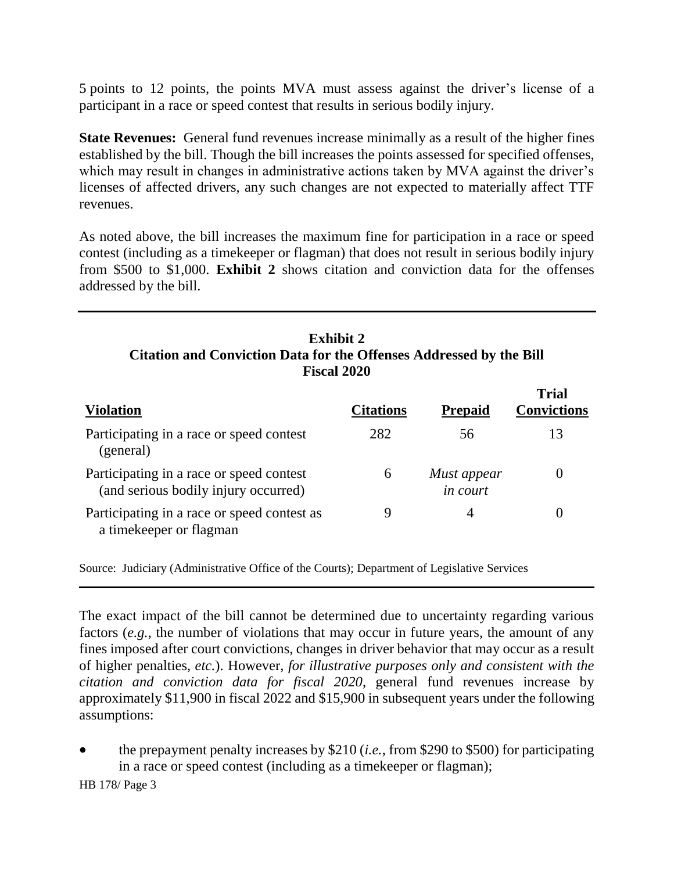5 points to 12 points, the points MVA must assess against the driver's license of a participant in a race or speed contest that results in serious bodily injury.

**State Revenues:** General fund revenues increase minimally as a result of the higher fines established by the bill. Though the bill increases the points assessed for specified offenses, which may result in changes in administrative actions taken by MVA against the driver's licenses of affected drivers, any such changes are not expected to materially affect TTF revenues.

As noted above, the bill increases the maximum fine for participation in a race or speed contest (including as a timekeeper or flagman) that does not result in serious bodily injury from \$500 to \$1,000. **Exhibit 2** shows citation and conviction data for the offenses addressed by the bill.

### **Exhibit 2 Citation and Conviction Data for the Offenses Addressed by the Bill Fiscal 2020**

**Trial** 

| <b>Violation</b>                                                                 | <b>Citations</b> | <b>Prepaid</b>                 | 'Frial<br><b>Convictions</b> |
|----------------------------------------------------------------------------------|------------------|--------------------------------|------------------------------|
| Participating in a race or speed contest<br>(general)                            | 282              | 56                             | 13                           |
| Participating in a race or speed contest<br>(and serious bodily injury occurred) | 6                | Must appear<br><i>in court</i> |                              |
| Participating in a race or speed contest as<br>a time keeper or flagman          |                  |                                |                              |

Source: Judiciary (Administrative Office of the Courts); Department of Legislative Services

The exact impact of the bill cannot be determined due to uncertainty regarding various factors (*e.g.*, the number of violations that may occur in future years, the amount of any fines imposed after court convictions, changes in driver behavior that may occur as a result of higher penalties, *etc.*). However, *for illustrative purposes only and consistent with the citation and conviction data for fiscal 2020*, general fund revenues increase by approximately \$11,900 in fiscal 2022 and \$15,900 in subsequent years under the following assumptions:

 the prepayment penalty increases by \$210 (*i.e.*, from \$290 to \$500) for participating in a race or speed contest (including as a timekeeper or flagman);

HB 178/ Page 3